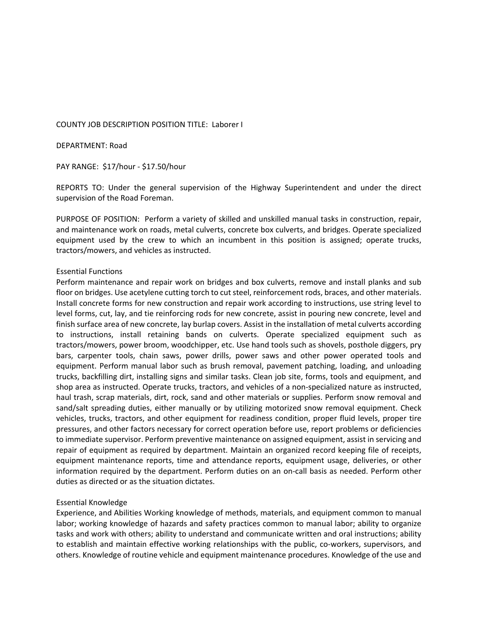### COUNTY JOB DESCRIPTION POSITION TITLE: Laborer I

DEPARTMENT: Road

PAY RANGE: \$17/hour ‐ \$17.50/hour

REPORTS TO: Under the general supervision of the Highway Superintendent and under the direct supervision of the Road Foreman.

PURPOSE OF POSITION: Perform a variety of skilled and unskilled manual tasks in construction, repair, and maintenance work on roads, metal culverts, concrete box culverts, and bridges. Operate specialized equipment used by the crew to which an incumbent in this position is assigned; operate trucks, tractors/mowers, and vehicles as instructed.

### Essential Functions

Perform maintenance and repair work on bridges and box culverts, remove and install planks and sub floor on bridges. Use acetylene cutting torch to cut steel, reinforcement rods, braces, and other materials. Install concrete forms for new construction and repair work according to instructions, use string level to level forms, cut, lay, and tie reinforcing rods for new concrete, assist in pouring new concrete, level and finish surface area of new concrete, lay burlap covers. Assist in the installation of metal culverts according to instructions, install retaining bands on culverts. Operate specialized equipment such as tractors/mowers, power broom, woodchipper, etc. Use hand tools such as shovels, posthole diggers, pry bars, carpenter tools, chain saws, power drills, power saws and other power operated tools and equipment. Perform manual labor such as brush removal, pavement patching, loading, and unloading trucks, backfilling dirt, installing signs and similar tasks. Clean job site, forms, tools and equipment, and shop area as instructed. Operate trucks, tractors, and vehicles of a non‐specialized nature as instructed, haul trash, scrap materials, dirt, rock, sand and other materials or supplies. Perform snow removal and sand/salt spreading duties, either manually or by utilizing motorized snow removal equipment. Check vehicles, trucks, tractors, and other equipment for readiness condition, proper fluid levels, proper tire pressures, and other factors necessary for correct operation before use, report problems or deficiencies to immediate supervisor. Perform preventive maintenance on assigned equipment, assist in servicing and repair of equipment as required by department. Maintain an organized record keeping file of receipts, equipment maintenance reports, time and attendance reports, equipment usage, deliveries, or other information required by the department. Perform duties on an on-call basis as needed. Perform other duties as directed or as the situation dictates.

### Essential Knowledge

Experience, and Abilities Working knowledge of methods, materials, and equipment common to manual labor; working knowledge of hazards and safety practices common to manual labor; ability to organize tasks and work with others; ability to understand and communicate written and oral instructions; ability to establish and maintain effective working relationships with the public, co-workers, supervisors, and others. Knowledge of routine vehicle and equipment maintenance procedures. Knowledge of the use and